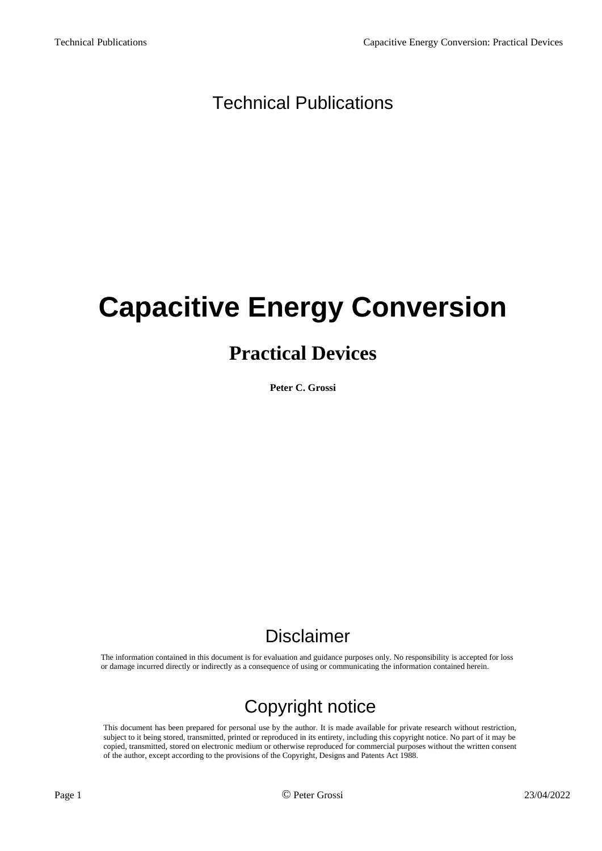### Technical Publications

# **Capacitive Energy Conversion**

## **Practical Devices**

**Peter C. Grossi**

### Disclaimer

The information contained in this document is for evaluation and guidance purposes only. No responsibility is accepted for loss or damage incurred directly or indirectly as a consequence of using or communicating the information contained herein.

## Copyright notice

This document has been prepared for personal use by the author. It is made available for private research without restriction, subject to it being stored, transmitted, printed or reproduced in its entirety, including this copyright notice. No part of it may be copied, transmitted, stored on electronic medium or otherwise reproduced for commercial purposes without the written consent of the author, except according to the provisions of the Copyright, Designs and Patents Act 1988.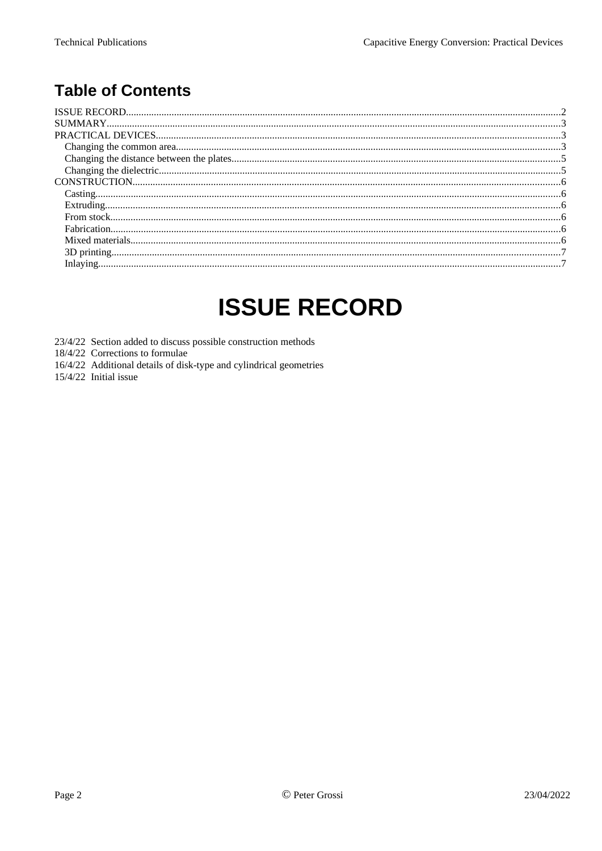### **Table of Contents**

## <span id="page-1-0"></span>**ISSUE RECORD**

- 23/4/22 Section added to discuss possible construction methods
- 18/4/22 Corrections to formulae
- 16/4/22 Additional details of disk-type and cylindrical geometries
- 15/4/22 Initial issue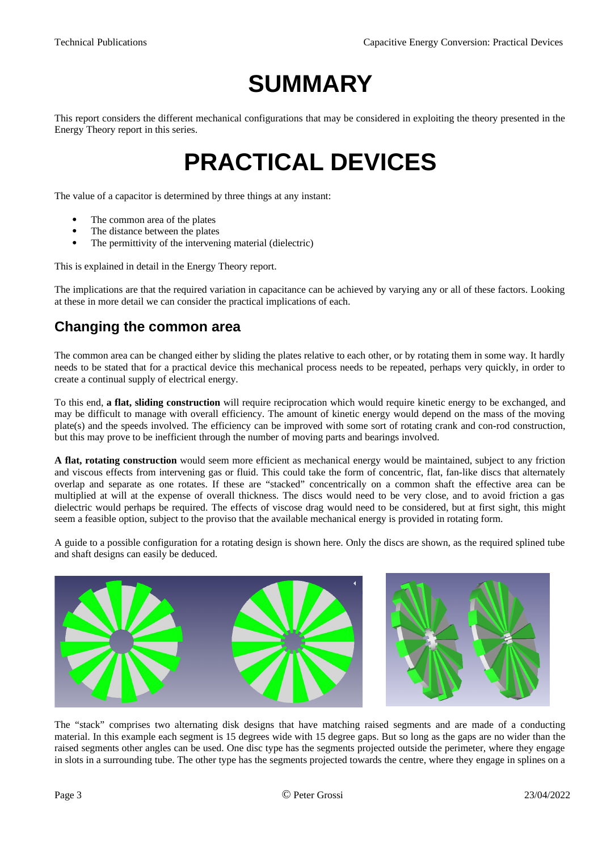## <span id="page-2-2"></span>**SUMMARY**

This report considers the different mechanical configurations that may be considered in exploiting the theory presented in the Energy Theory report in this series.

## <span id="page-2-1"></span>**PRACTICAL DEVICES**

The value of a capacitor is determined by three things at any instant:

- The common area of the plates
- The distance between the plates
- The permittivity of the intervening material (dielectric)

This is explained in detail in the Energy Theory report.

The implications are that the required variation in capacitance can be achieved by varying any or all of these factors. Looking at these in more detail we can consider the practical implications of each.

#### <span id="page-2-0"></span>**Changing the common area**

The common area can be changed either by sliding the plates relative to each other, or by rotating them in some way. It hardly needs to be stated that for a practical device this mechanical process needs to be repeated, perhaps very quickly, in order to create a continual supply of electrical energy.

To this end, **a flat, sliding construction** will require reciprocation which would require kinetic energy to be exchanged, and may be difficult to manage with overall efficiency. The amount of kinetic energy would depend on the mass of the moving plate(s) and the speeds involved. The efficiency can be improved with some sort of rotating crank and con-rod construction, but this may prove to be inefficient through the number of moving parts and bearings involved.

**A flat, rotating construction** would seem more efficient as mechanical energy would be maintained, subject to any friction and viscous effects from intervening gas or fluid. This could take the form of concentric, flat, fan-like discs that alternately overlap and separate as one rotates. If these are "stacked" concentrically on a common shaft the effective area can be multiplied at will at the expense of overall thickness. The discs would need to be very close, and to avoid friction a gas dielectric would perhaps be required. The effects of viscose drag would need to be considered, but at first sight, this might seem a feasible option, subject to the proviso that the available mechanical energy is provided in rotating form.

A guide to a possible configuration for a rotating design is shown here. Only the discs are shown, as the required splined tube and shaft designs can easily be deduced.



The "stack" comprises two alternating disk designs that have matching raised segments and are made of a conducting material. In this example each segment is 15 degrees wide with 15 degree gaps. But so long as the gaps are no wider than the raised segments other angles can be used. One disc type has the segments projected outside the perimeter, where they engage in slots in a surrounding tube. The other type has the segments projected towards the centre, where they engage in splines on a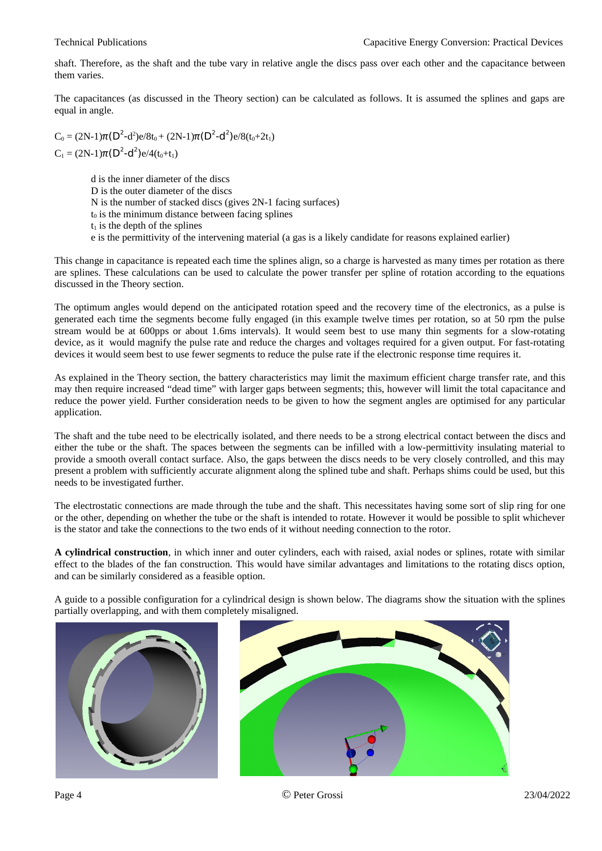shaft. Therefore, as the shaft and the tube vary in relative angle the discs pass over each other and the capacitance between them varies.

The capacitances (as discussed in the Theory section) can be calculated as follows. It is assumed the splines and gaps are equal in angle.

 $C_0 = (2N-1)\pi (D^2-d^2)e/8t_0 + (2N-1)\pi (D^2-d^2)e/8(t_0+2t_1)$  $C_1 = (2N-1)\pi (D^2-d^2)e/4(t_0+t_1)$ 

> d is the inner diameter of the discs D is the outer diameter of the discs N is the number of stacked discs (gives 2N-1 facing surfaces)  $t_0$  is the minimum distance between facing splines  $t_1$  is the depth of the splines e is the permittivity of the intervening material (a gas is a likely candidate for reasons explained earlier)

This change in capacitance is repeated each time the splines align, so a charge is harvested as many times per rotation as there are splines. These calculations can be used to calculate the power transfer per spline of rotation according to the equations discussed in the Theory section.

The optimum angles would depend on the anticipated rotation speed and the recovery time of the electronics, as a pulse is generated each time the segments become fully engaged (in this example twelve times per rotation, so at 50 rpm the pulse stream would be at 600pps or about 1.6ms intervals). It would seem best to use many thin segments for a slow-rotating device, as it would magnify the pulse rate and reduce the charges and voltages required for a given output. For fast-rotating devices it would seem best to use fewer segments to reduce the pulse rate if the electronic response time requires it.

As explained in the Theory section, the battery characteristics may limit the maximum efficient charge transfer rate, and this may then require increased "dead time" with larger gaps between segments; this, however will limit the total capacitance and reduce the power yield. Further consideration needs to be given to how the segment angles are optimised for any particular application.

The shaft and the tube need to be electrically isolated, and there needs to be a strong electrical contact between the discs and either the tube or the shaft. The spaces between the segments can be infilled with a low-permittivity insulating material to provide a smooth overall contact surface. Also, the gaps between the discs needs to be very closely controlled, and this may present a problem with sufficiently accurate alignment along the splined tube and shaft. Perhaps shims could be used, but this needs to be investigated further.

The electrostatic connections are made through the tube and the shaft. This necessitates having some sort of slip ring for one or the other, depending on whether the tube or the shaft is intended to rotate. However it would be possible to split whichever is the stator and take the connections to the two ends of it without needing connection to the rotor.

**A cylindrical construction**, in which inner and outer cylinders, each with raised, axial nodes or splines, rotate with similar effect to the blades of the fan construction. This would have similar advantages and limitations to the rotating discs option, and can be similarly considered as a feasible option.

A guide to a possible configuration for a cylindrical design is shown below. The diagrams show the situation with the splines partially overlapping, and with them completely misaligned.



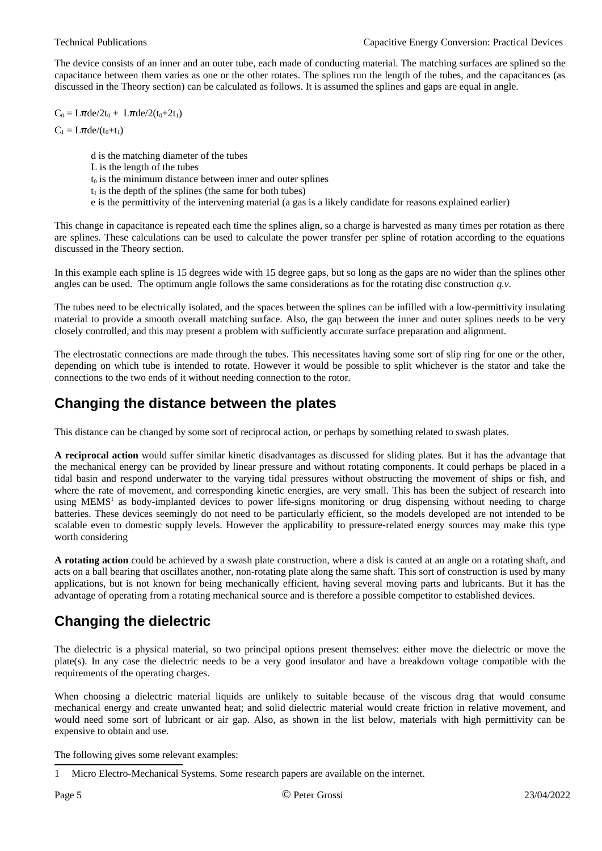The device consists of an inner and an outer tube, each made of conducting material. The matching surfaces are splined so the capacitance between them varies as one or the other rotates. The splines run the length of the tubes, and the capacitances (as discussed in the Theory section) can be calculated as follows. It is assumed the splines and gaps are equal in angle.

 $C_0 = L\pi$ de/2t<sub>0</sub> +  $L\pi$ de/2(t<sub>0</sub>+2t<sub>1</sub>)

 $C_1 = L\pi$ de/(t<sub>0</sub>+t<sub>1</sub>)

d is the matching diameter of the tubes L is the length of the tubes  $t_0$  is the minimum distance between inner and outer splines  $t<sub>1</sub>$  is the depth of the splines (the same for both tubes) e is the permittivity of the intervening material (a gas is a likely candidate for reasons explained earlier)

This change in capacitance is repeated each time the splines align, so a charge is harvested as many times per rotation as there are splines. These calculations can be used to calculate the power transfer per spline of rotation according to the equations discussed in the Theory section.

In this example each spline is 15 degrees wide with 15 degree gaps, but so long as the gaps are no wider than the splines other angles can be used. The optimum angle follows the same considerations as for the rotating disc construction *q.v*.

The tubes need to be electrically isolated, and the spaces between the splines can be infilled with a low-permittivity insulating material to provide a smooth overall matching surface. Also, the gap between the inner and outer splines needs to be very closely controlled, and this may present a problem with sufficiently accurate surface preparation and alignment.

The electrostatic connections are made through the tubes. This necessitates having some sort of slip ring for one or the other, depending on which tube is intended to rotate. However it would be possible to split whichever is the stator and take the connections to the two ends of it without needing connection to the rotor.

#### <span id="page-4-1"></span>**Changing the distance between the plates**

This distance can be changed by some sort of reciprocal action, or perhaps by something related to swash plates.

**A reciprocal action** would suffer similar kinetic disadvantages as discussed for sliding plates. But it has the advantage that the mechanical energy can be provided by linear pressure and without rotating components. It could perhaps be placed in a tidal basin and respond underwater to the varying tidal pressures without obstructing the movement of ships or fish, and where the rate of movement, and corresponding kinetic energies, are very small. This has been the subject of research into using MEMS<sup>[1](#page-4-2)</sup> as body-implanted devices to power life-signs monitoring or drug dispensing without needing to charge batteries. These devices seemingly do not need to be particularly efficient, so the models developed are not intended to be scalable even to domestic supply levels. However the applicability to pressure-related energy sources may make this type worth considering

**A rotating action** could be achieved by a swash plate construction, where a disk is canted at an angle on a rotating shaft, and acts on a ball bearing that oscillates another, non-rotating plate along the same shaft. This sort of construction is used by many applications, but is not known for being mechanically efficient, having several moving parts and lubricants. But it has the advantage of operating from a rotating mechanical source and is therefore a possible competitor to established devices.

#### <span id="page-4-0"></span>**Changing the dielectric**

The dielectric is a physical material, so two principal options present themselves: either move the dielectric or move the plate(s). In any case the dielectric needs to be a very good insulator and have a breakdown voltage compatible with the requirements of the operating charges.

When choosing a dielectric material liquids are unlikely to suitable because of the viscous drag that would consume mechanical energy and create unwanted heat; and solid dielectric material would create friction in relative movement, and would need some sort of lubricant or air gap. Also, as shown in the list below, materials with high permittivity can be expensive to obtain and use.

The following gives some relevant examples:

<span id="page-4-2"></span><sup>1</sup> Micro Electro-Mechanical Systems. Some research papers are available on the internet.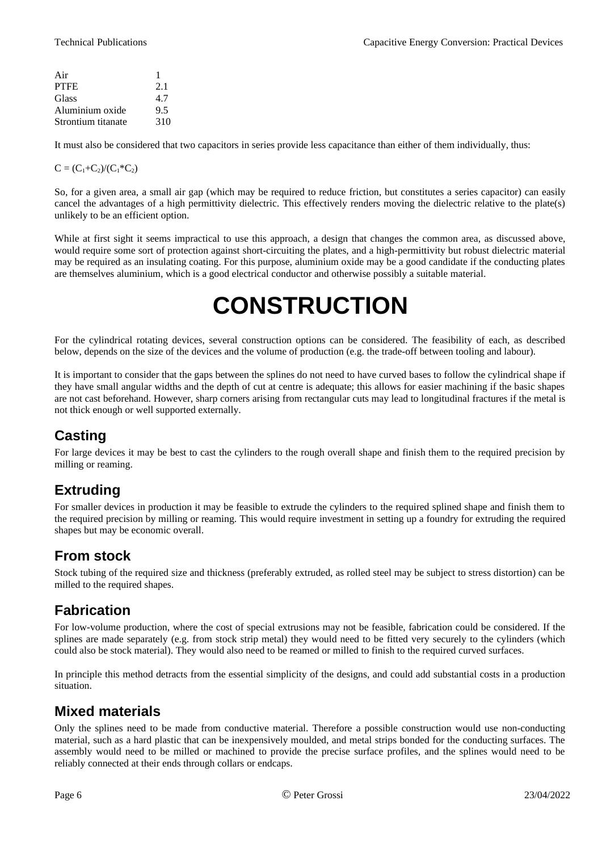| Air                | 1   |
|--------------------|-----|
| PTFE               | 2.1 |
| Glass              | 4.7 |
| Aluminium oxide    | 9.5 |
| Strontium titanate | 310 |

It must also be considered that two capacitors in series provide less capacitance than either of them individually, thus:

#### $C = (C_1 + C_2)/(C_1 * C_2)$

So, for a given area, a small air gap (which may be required to reduce friction, but constitutes a series capacitor) can easily cancel the advantages of a high permittivity dielectric. This effectively renders moving the dielectric relative to the plate(s) unlikely to be an efficient option.

While at first sight it seems impractical to use this approach, a design that changes the common area, as discussed above, would require some sort of protection against short-circuiting the plates, and a high-permittivity but robust dielectric material may be required as an insulating coating. For this purpose, aluminium oxide may be a good candidate if the conducting plates are themselves aluminium, which is a good electrical conductor and otherwise possibly a suitable material.

## <span id="page-5-5"></span>**CONSTRUCTION**

For the cylindrical rotating devices, several construction options can be considered. The feasibility of each, as described below, depends on the size of the devices and the volume of production (e.g. the trade-off between tooling and labour).

It is important to consider that the gaps between the splines do not need to have curved bases to follow the cylindrical shape if they have small angular widths and the depth of cut at centre is adequate; this allows for easier machining if the basic shapes are not cast beforehand. However, sharp corners arising from rectangular cuts may lead to longitudinal fractures if the metal is not thick enough or well supported externally.

#### <span id="page-5-4"></span>**Casting**

For large devices it may be best to cast the cylinders to the rough overall shape and finish them to the required precision by milling or reaming.

#### <span id="page-5-3"></span>**Extruding**

For smaller devices in production it may be feasible to extrude the cylinders to the required splined shape and finish them to the required precision by milling or reaming. This would require investment in setting up a foundry for extruding the required shapes but may be economic overall.

#### <span id="page-5-2"></span>**From stock**

Stock tubing of the required size and thickness (preferably extruded, as rolled steel may be subject to stress distortion) can be milled to the required shapes.

#### <span id="page-5-1"></span>**Fabrication**

For low-volume production, where the cost of special extrusions may not be feasible, fabrication could be considered. If the splines are made separately (e.g. from stock strip metal) they would need to be fitted very securely to the cylinders (which could also be stock material). They would also need to be reamed or milled to finish to the required curved surfaces.

In principle this method detracts from the essential simplicity of the designs, and could add substantial costs in a production situation.

#### <span id="page-5-0"></span>**Mixed materials**

Only the splines need to be made from conductive material. Therefore a possible construction would use non-conducting material, such as a hard plastic that can be inexpensively moulded, and metal strips bonded for the conducting surfaces. The assembly would need to be milled or machined to provide the precise surface profiles, and the splines would need to be reliably connected at their ends through collars or endcaps.